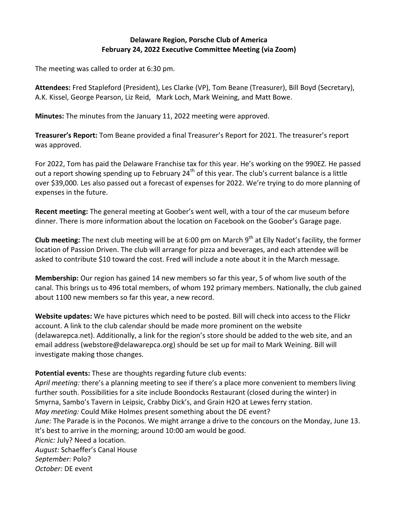## **Delaware Region, Porsche Club of America February 24, 2022 Executive Committee Meeting (via Zoom)**

The meeting was called to order at 6:30 pm.

**Attendees:** Fred Stapleford (President), Les Clarke (VP), Tom Beane (Treasurer), Bill Boyd (Secretary), A.K. Kissel, George Pearson, Liz Reid, Mark Loch, Mark Weining, and Matt Bowe.

**Minutes:** The minutes from the January 11, 2022 meeting were approved.

**Treasurer's Report:** Tom Beane provided a final Treasurer's Report for 2021. The treasurer's report was approved.

For 2022, Tom has paid the Delaware Franchise tax for this year. He's working on the 990EZ. He passed out a report showing spending up to February 24<sup>th</sup> of this year. The club's current balance is a little over \$39,000. Les also passed out a forecast of expenses for 2022. We're trying to do more planning of expenses in the future.

**Recent meeting:** The general meeting at Goober's went well, with a tour of the car museum before dinner. There is more information about the location on Facebook on the Goober's Garage page.

**Club meeting:** The next club meeting will be at 6:00 pm on March 9<sup>th</sup> at Elly Nadot's facility, the former location of Passion Driven. The club will arrange for pizza and beverages, and each attendee will be asked to contribute \$10 toward the cost. Fred will include a note about it in the March message.

**Membership:** Our region has gained 14 new members so far this year, 5 of whom live south of the canal. This brings us to 496 total members, of whom 192 primary members. Nationally, the club gained about 1100 new members so far this year, a new record.

**Website updates:** We have pictures which need to be posted. Bill will check into access to the Flickr account. A link to the club calendar should be made more prominent on the website (delawarepca.net). Additionally, a link for the region's store should be added to the web site, and an email address (webstore@delawarepca.org) should be set up for mail to Mark Weining. Bill will investigate making those changes.

**Potential events:** These are thoughts regarding future club events:

*April meeting:* there's a planning meeting to see if there's a place more convenient to members living further south. Possibilities for a site include Boondocks Restaurant (closed during the winter) in Smyrna, Sambo's Tavern in Leipsic, Crabby Dick's, and Grain H2O at Lewes ferry station. *May meeting:* Could Mike Holmes present something about the DE event? *June:* The Parade is in the Poconos. We might arrange a drive to the concours on the Monday, June 13. It's best to arrive in the morning; around 10:00 am would be good. *Picnic:* July? Need a location. *August:* Schaeffer's Canal House *September:* Polo? *October:* DE event